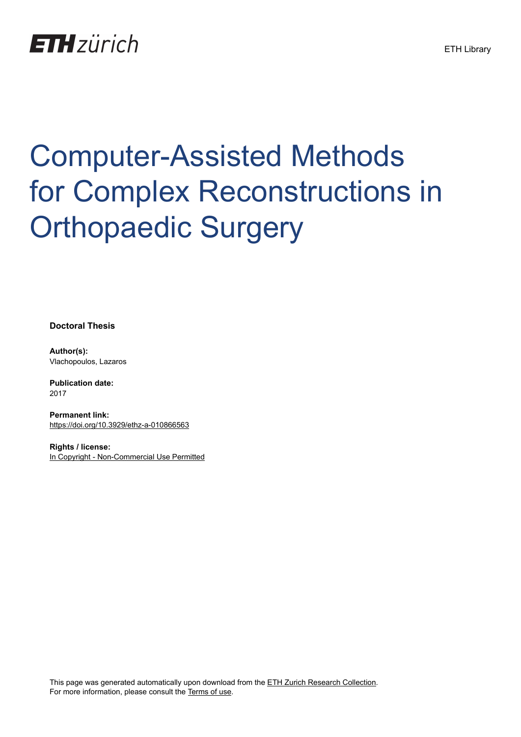## **ETH**zürich

# Computer-Assisted Methods for Complex Reconstructions in Orthopaedic Surgery

**Doctoral Thesis**

**Author(s):** Vlachopoulos, Lazaros

**Publication date:** 2017

**Permanent link:** <https://doi.org/10.3929/ethz-a-010866563>

**Rights / license:** [In Copyright - Non-Commercial Use Permitted](http://rightsstatements.org/page/InC-NC/1.0/)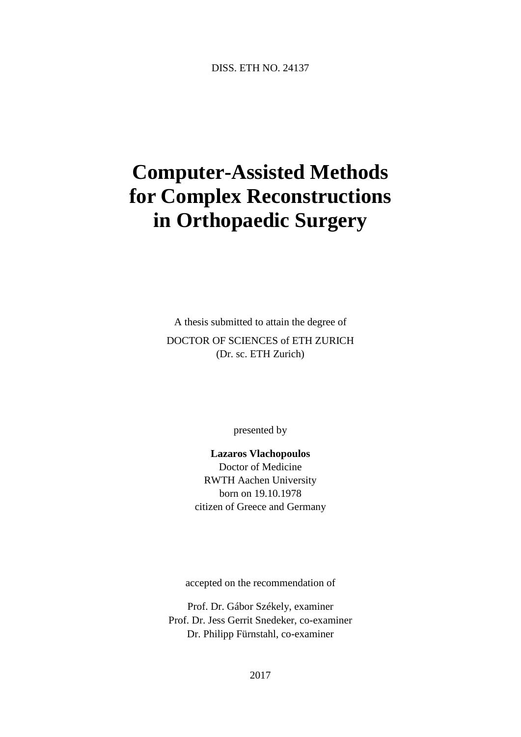### **Computer-Assisted Methods for Complex Reconstructions in Orthopaedic Surgery**

A thesis submitted to attain the degree of DOCTOR OF SCIENCES of ETH ZURICH (Dr. sc. ETH Zurich)

presented by

**Lazaros Vlachopoulos** Doctor of Medicine RWTH Aachen University born on 19.10.1978 citizen of Greece and Germany

accepted on the recommendation of

Prof. Dr. Gábor Székely, examiner Prof. Dr. Jess Gerrit Snedeker, co-examiner Dr. Philipp Fürnstahl, co-examiner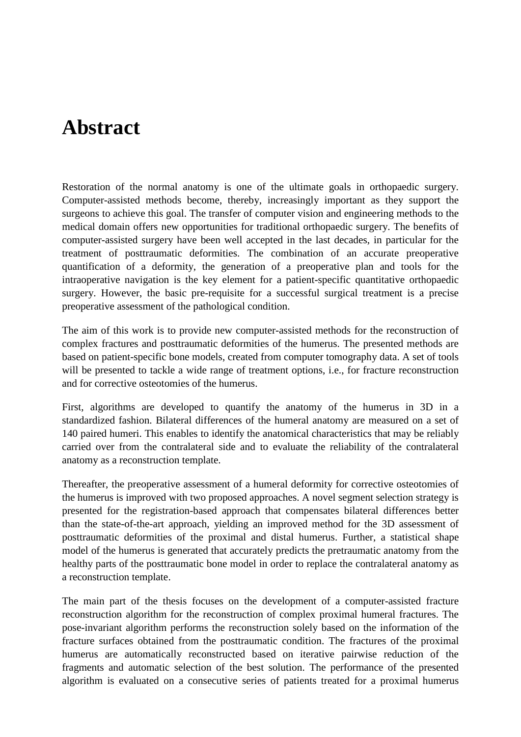#### **Abstract**

Restoration of the normal anatomy is one of the ultimate goals in orthopaedic surgery. Computer-assisted methods become, thereby, increasingly important as they support the surgeons to achieve this goal. The transfer of computer vision and engineering methods to the medical domain offers new opportunities for traditional orthopaedic surgery. The benefits of computer-assisted surgery have been well accepted in the last decades, in particular for the treatment of posttraumatic deformities. The combination of an accurate preoperative quantification of a deformity, the generation of a preoperative plan and tools for the intraoperative navigation is the key element for a patient-specific quantitative orthopaedic surgery. However, the basic pre-requisite for a successful surgical treatment is a precise preoperative assessment of the pathological condition.

The aim of this work is to provide new computer-assisted methods for the reconstruction of complex fractures and posttraumatic deformities of the humerus. The presented methods are based on patient-specific bone models, created from computer tomography data. A set of tools will be presented to tackle a wide range of treatment options, i.e., for fracture reconstruction and for corrective osteotomies of the humerus.

First, algorithms are developed to quantify the anatomy of the humerus in 3D in a standardized fashion. Bilateral differences of the humeral anatomy are measured on a set of 140 paired humeri. This enables to identify the anatomical characteristics that may be reliably carried over from the contralateral side and to evaluate the reliability of the contralateral anatomy as a reconstruction template.

Thereafter, the preoperative assessment of a humeral deformity for corrective osteotomies of the humerus is improved with two proposed approaches. A novel segment selection strategy is presented for the registration-based approach that compensates bilateral differences better than the state-of-the-art approach, yielding an improved method for the 3D assessment of posttraumatic deformities of the proximal and distal humerus. Further, a statistical shape model of the humerus is generated that accurately predicts the pretraumatic anatomy from the healthy parts of the posttraumatic bone model in order to replace the contralateral anatomy as a reconstruction template.

The main part of the thesis focuses on the development of a computer-assisted fracture reconstruction algorithm for the reconstruction of complex proximal humeral fractures. The pose-invariant algorithm performs the reconstruction solely based on the information of the fracture surfaces obtained from the posttraumatic condition. The fractures of the proximal humerus are automatically reconstructed based on iterative pairwise reduction of the fragments and automatic selection of the best solution. The performance of the presented algorithm is evaluated on a consecutive series of patients treated for a proximal humerus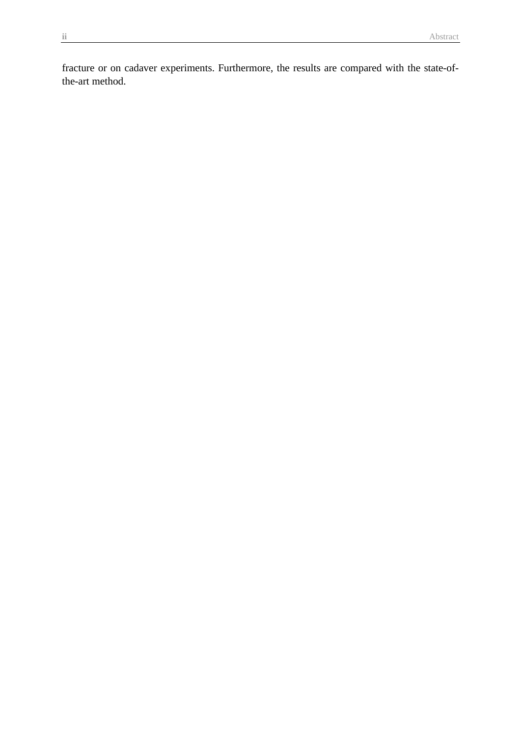fracture or on cadaver experiments. Furthermore, the results are compared with the state-ofthe-art method.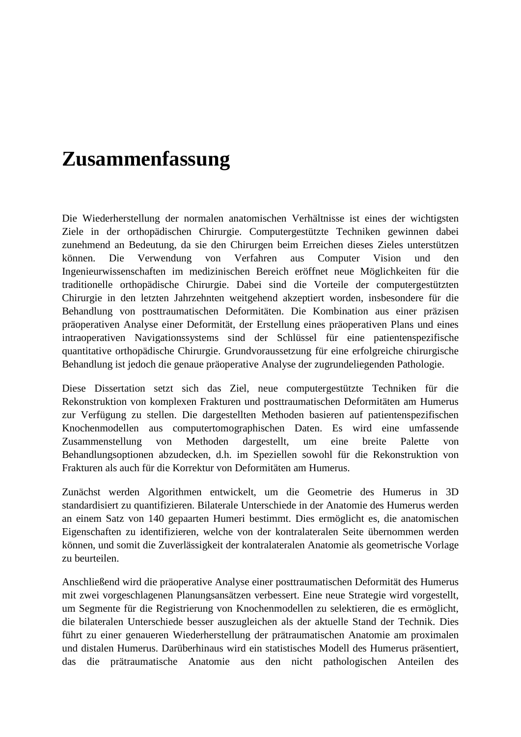#### **Zusammenfassung**

Die Wiederherstellung der normalen anatomischen Verhältnisse ist eines der wichtigsten Ziele in der orthopädischen Chirurgie. Computergestützte Techniken gewinnen dabei zunehmend an Bedeutung, da sie den Chirurgen beim Erreichen dieses Zieles unterstützen können. Die Verwendung von Verfahren aus Computer Vision und den Ingenieurwissenschaften im medizinischen Bereich eröffnet neue Möglichkeiten für die traditionelle orthopädische Chirurgie. Dabei sind die Vorteile der computergestützten Chirurgie in den letzten Jahrzehnten weitgehend akzeptiert worden, insbesondere für die Behandlung von posttraumatischen Deformitäten. Die Kombination aus einer präzisen präoperativen Analyse einer Deformität, der Erstellung eines präoperativen Plans und eines intraoperativen Navigationssystems sind der Schlüssel für eine patientenspezifische quantitative orthopädische Chirurgie. Grundvoraussetzung für eine erfolgreiche chirurgische Behandlung ist jedoch die genaue präoperative Analyse der zugrundeliegenden Pathologie.

Diese Dissertation setzt sich das Ziel, neue computergestützte Techniken für die Rekonstruktion von komplexen Frakturen und posttraumatischen Deformitäten am Humerus zur Verfügung zu stellen. Die dargestellten Methoden basieren auf patientenspezifischen Knochenmodellen aus computertomographischen Daten. Es wird eine umfassende Zusammenstellung von Methoden dargestellt, um eine breite Palette von Behandlungsoptionen abzudecken, d.h. im Speziellen sowohl für die Rekonstruktion von Frakturen als auch für die Korrektur von Deformitäten am Humerus.

Zunächst werden Algorithmen entwickelt, um die Geometrie des Humerus in 3D standardisiert zu quantifizieren. Bilaterale Unterschiede in der Anatomie des Humerus werden an einem Satz von 140 gepaarten Humeri bestimmt. Dies ermöglicht es, die anatomischen Eigenschaften zu identifizieren, welche von der kontralateralen Seite übernommen werden können, und somit die Zuverlässigkeit der kontralateralen Anatomie als geometrische Vorlage zu beurteilen.

Anschließend wird die präoperative Analyse einer posttraumatischen Deformität des Humerus mit zwei vorgeschlagenen Planungsansätzen verbessert. Eine neue Strategie wird vorgestellt, um Segmente für die Registrierung von Knochenmodellen zu selektieren, die es ermöglicht, die bilateralen Unterschiede besser auszugleichen als der aktuelle Stand der Technik. Dies führt zu einer genaueren Wiederherstellung der prätraumatischen Anatomie am proximalen und distalen Humerus. Darüberhinaus wird ein statistisches Modell des Humerus präsentiert, das die prätraumatische Anatomie aus den nicht pathologischen Anteilen des